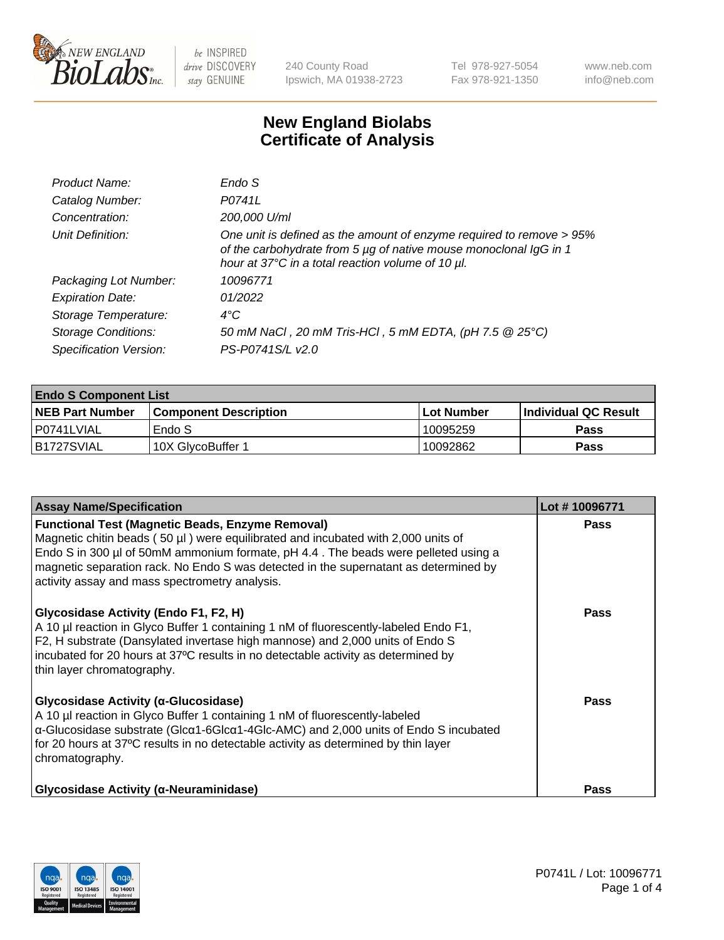

240 County Road Ipswich, MA 01938-2723 Tel 978-927-5054 Fax 978-921-1350 www.neb.com info@neb.com

## **New England Biolabs Certificate of Analysis**

| Product Name:              | Endo S                                                                                                                                                                                         |
|----------------------------|------------------------------------------------------------------------------------------------------------------------------------------------------------------------------------------------|
| Catalog Number:            | P0741L                                                                                                                                                                                         |
| Concentration:             | 200,000 U/ml                                                                                                                                                                                   |
| Unit Definition:           | One unit is defined as the amount of enzyme required to remove > 95%<br>of the carbohydrate from 5 µg of native mouse monoclonal IgG in 1<br>hour at 37°C in a total reaction volume of 10 µl. |
| Packaging Lot Number:      | 10096771                                                                                                                                                                                       |
| <b>Expiration Date:</b>    | 01/2022                                                                                                                                                                                        |
| Storage Temperature:       | $4^{\circ}$ C                                                                                                                                                                                  |
| <b>Storage Conditions:</b> | 50 mM NaCl, 20 mM Tris-HCl, 5 mM EDTA, (pH 7.5 @ 25°C)                                                                                                                                         |
| Specification Version:     | PS-P0741S/L v2.0                                                                                                                                                                               |

| <b>Endo S Component List</b> |                         |              |                             |  |  |
|------------------------------|-------------------------|--------------|-----------------------------|--|--|
| <b>NEB Part Number</b>       | l Component Description | l Lot Number | <b>Individual QC Result</b> |  |  |
| l P0741LVIAL                 | Endo S                  | 10095259     | <b>Pass</b>                 |  |  |
| IB1727SVIAL                  | 10X GlycoBuffer 1       | 10092862     | Pass                        |  |  |

| <b>Assay Name/Specification</b>                                                                                                                                                                                                                                                                                                                                                   | Lot #10096771 |
|-----------------------------------------------------------------------------------------------------------------------------------------------------------------------------------------------------------------------------------------------------------------------------------------------------------------------------------------------------------------------------------|---------------|
| <b>Functional Test (Magnetic Beads, Enzyme Removal)</b><br>Magnetic chitin beads $(50 \mu l)$ were equilibrated and incubated with 2,000 units of<br>Endo S in 300 µl of 50mM ammonium formate, pH 4.4. The beads were pelleted using a<br>magnetic separation rack. No Endo S was detected in the supernatant as determined by<br>activity assay and mass spectrometry analysis. | <b>Pass</b>   |
| Glycosidase Activity (Endo F1, F2, H)<br>A 10 µl reaction in Glyco Buffer 1 containing 1 nM of fluorescently-labeled Endo F1,<br>F2, H substrate (Dansylated invertase high mannose) and 2,000 units of Endo S<br>incubated for 20 hours at 37°C results in no detectable activity as determined by<br>thin layer chromatography.                                                 | Pass          |
| Glycosidase Activity (α-Glucosidase)<br>A 10 µl reaction in Glyco Buffer 1 containing 1 nM of fluorescently-labeled<br>$\alpha$ -Glucosidase substrate (Glc $\alpha$ 1-6Glc $\alpha$ 1-4Glc-AMC) and 2,000 units of Endo S incubated<br>for 20 hours at 37°C results in no detectable activity as determined by thin layer<br>chromatography.                                     | Pass          |
| <b>Glycosidase Activity (α-Neuraminidase)</b>                                                                                                                                                                                                                                                                                                                                     | <b>Pass</b>   |

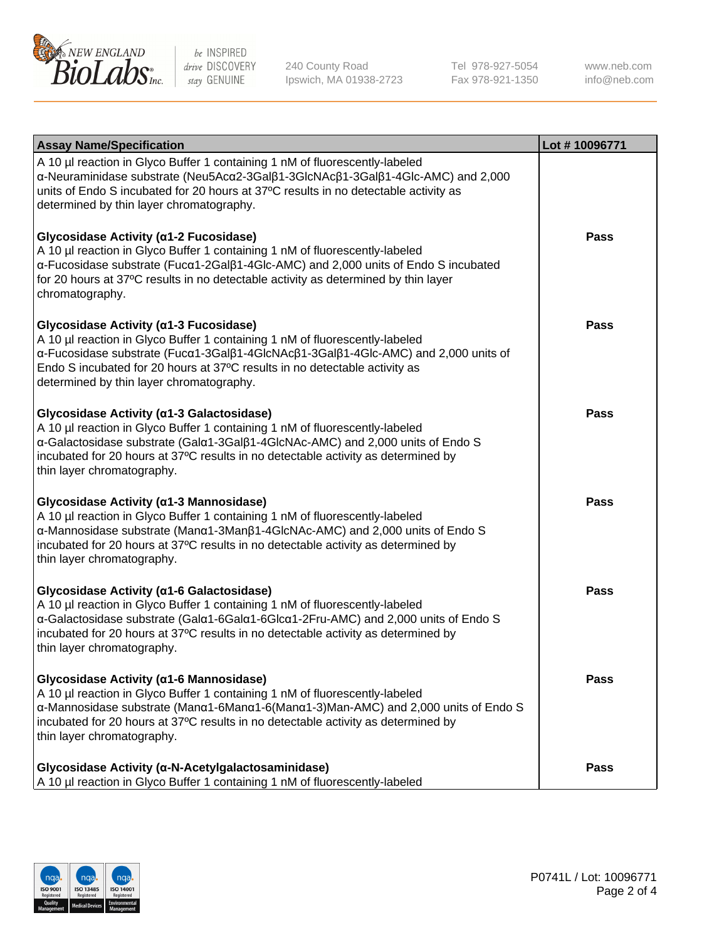

240 County Road Ipswich, MA 01938-2723 Tel 978-927-5054 Fax 978-921-1350 www.neb.com info@neb.com

| <b>Assay Name/Specification</b>                                                                                                                                                                                                                                                                                                       | Lot #10096771 |
|---------------------------------------------------------------------------------------------------------------------------------------------------------------------------------------------------------------------------------------------------------------------------------------------------------------------------------------|---------------|
| A 10 µl reaction in Glyco Buffer 1 containing 1 nM of fluorescently-labeled<br>α-Neuraminidase substrate (Neu5Acα2-3Galβ1-3GlcNAcβ1-3Galβ1-4Glc-AMC) and 2,000<br>units of Endo S incubated for 20 hours at 37°C results in no detectable activity as<br>determined by thin layer chromatography.                                     |               |
| Glycosidase Activity (α1-2 Fucosidase)<br>A 10 µl reaction in Glyco Buffer 1 containing 1 nM of fluorescently-labeled<br>α-Fucosidase substrate (Fucα1-2Galβ1-4Glc-AMC) and 2,000 units of Endo S incubated<br>for 20 hours at 37°C results in no detectable activity as determined by thin layer<br>chromatography.                  | <b>Pass</b>   |
| Glycosidase Activity (α1-3 Fucosidase)<br>A 10 µl reaction in Glyco Buffer 1 containing 1 nM of fluorescently-labeled<br>α-Fucosidase substrate (Fucα1-3Galβ1-4GlcNAcβ1-3Galβ1-4Glc-AMC) and 2,000 units of<br>Endo S incubated for 20 hours at 37°C results in no detectable activity as<br>determined by thin layer chromatography. | <b>Pass</b>   |
| Glycosidase Activity (a1-3 Galactosidase)<br>A 10 µl reaction in Glyco Buffer 1 containing 1 nM of fluorescently-labeled<br>α-Galactosidase substrate (Galα1-3Galβ1-4GlcNAc-AMC) and 2,000 units of Endo S<br>incubated for 20 hours at 37°C results in no detectable activity as determined by<br>thin layer chromatography.         | Pass          |
| Glycosidase Activity (α1-3 Mannosidase)<br>A 10 µl reaction in Glyco Buffer 1 containing 1 nM of fluorescently-labeled<br>α-Mannosidase substrate (Manα1-3Manβ1-4GlcNAc-AMC) and 2,000 units of Endo S<br>incubated for 20 hours at 37°C results in no detectable activity as determined by<br>thin layer chromatography.             | <b>Pass</b>   |
| Glycosidase Activity (α1-6 Galactosidase)<br>A 10 µl reaction in Glyco Buffer 1 containing 1 nM of fluorescently-labeled<br>α-Galactosidase substrate (Galα1-6Galα1-6Glcα1-2Fru-AMC) and 2,000 units of Endo S<br>incubated for 20 hours at 37°C results in no detectable activity as determined by<br>thin layer chromatography.     | <b>Pass</b>   |
| Glycosidase Activity (α1-6 Mannosidase)<br>A 10 µl reaction in Glyco Buffer 1 containing 1 nM of fluorescently-labeled<br>α-Mannosidase substrate (Μanα1-6Μanα1-6(Μanα1-3)Man-AMC) and 2,000 units of Endo S<br>incubated for 20 hours at 37°C results in no detectable activity as determined by<br>thin layer chromatography.       | <b>Pass</b>   |
| Glycosidase Activity (α-N-Acetylgalactosaminidase)<br>A 10 µl reaction in Glyco Buffer 1 containing 1 nM of fluorescently-labeled                                                                                                                                                                                                     | <b>Pass</b>   |

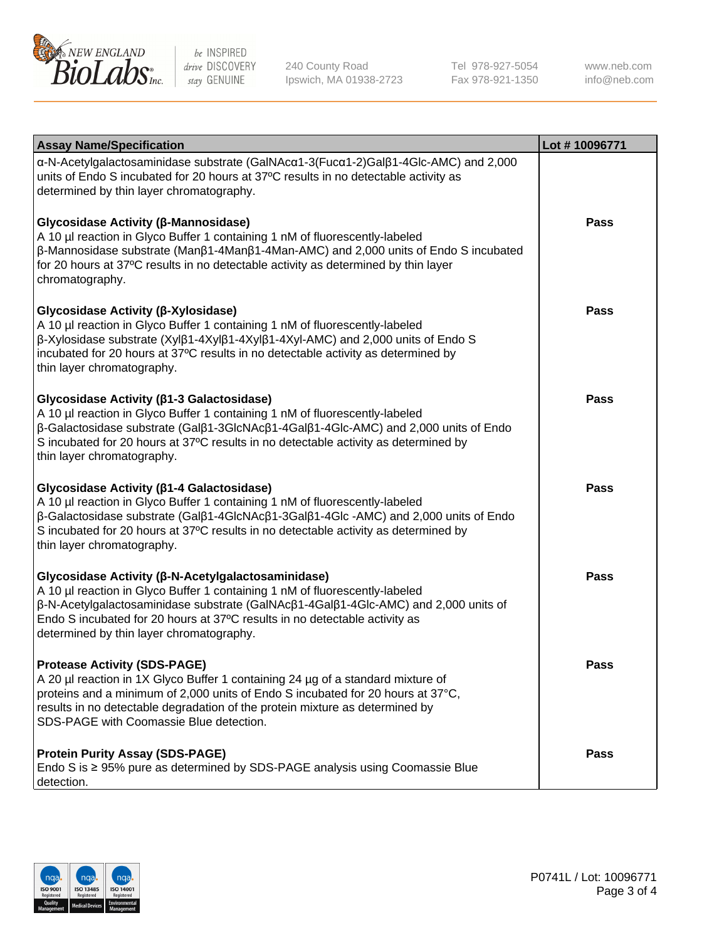

240 County Road Ipswich, MA 01938-2723 Tel 978-927-5054 Fax 978-921-1350

www.neb.com info@neb.com

| <b>Assay Name/Specification</b>                                                                                                                                                                                                                                                                                                                                             | Lot #10096771 |
|-----------------------------------------------------------------------------------------------------------------------------------------------------------------------------------------------------------------------------------------------------------------------------------------------------------------------------------------------------------------------------|---------------|
| α-N-Acetylgalactosaminidase substrate (GalNAcα1-3(Fucα1-2)Galβ1-4Glc-AMC) and 2,000<br>units of Endo S incubated for 20 hours at 37°C results in no detectable activity as<br>determined by thin layer chromatography.                                                                                                                                                      |               |
| <b>Glycosidase Activity (β-Mannosidase)</b><br>A 10 µl reaction in Glyco Buffer 1 containing 1 nM of fluorescently-labeled<br>$\beta$ -Mannosidase substrate (Man $\beta$ 1-4Man $\beta$ 1-4Man-AMC) and 2,000 units of Endo S incubated<br>for 20 hours at 37°C results in no detectable activity as determined by thin layer<br>chromatography.                           | <b>Pass</b>   |
| <b>Glycosidase Activity (β-Xylosidase)</b><br>A 10 µl reaction in Glyco Buffer 1 containing 1 nM of fluorescently-labeled<br>$\beta$ -Xylosidase substrate (Xyl $\beta$ 1-4Xyl $\beta$ 1-4Xyl $\beta$ 1-4Xyl-AMC) and 2,000 units of Endo S<br>incubated for 20 hours at 37°C results in no detectable activity as determined by<br>thin layer chromatography.              | Pass          |
| <b>Glycosidase Activity (β1-3 Galactosidase)</b><br>A 10 µl reaction in Glyco Buffer 1 containing 1 nM of fluorescently-labeled<br>β-Galactosidase substrate (Galβ1-3GlcNAcβ1-4Galβ1-4Glc-AMC) and 2,000 units of Endo<br>S incubated for 20 hours at 37°C results in no detectable activity as determined by<br>thin layer chromatography.                                 | <b>Pass</b>   |
| <b>Glycosidase Activity (β1-4 Galactosidase)</b><br>A 10 µl reaction in Glyco Buffer 1 containing 1 nM of fluorescently-labeled<br>$\beta$ -Galactosidase substrate (Gal $\beta$ 1-4GlcNAc $\beta$ 1-3Gal $\beta$ 1-4Glc -AMC) and 2,000 units of Endo<br>S incubated for 20 hours at 37°C results in no detectable activity as determined by<br>thin layer chromatography. | <b>Pass</b>   |
| <b>Glycosidase Activity (β-N-Acetylgalactosaminidase)</b><br>A 10 µl reaction in Glyco Buffer 1 containing 1 nM of fluorescently-labeled<br>β-N-Acetylgalactosaminidase substrate (GalNAcβ1-4Galβ1-4Glc-AMC) and 2,000 units of<br>Endo S incubated for 20 hours at 37°C results in no detectable activity as<br>determined by thin layer chromatography.                   | <b>Pass</b>   |
| <b>Protease Activity (SDS-PAGE)</b><br>A 20 µl reaction in 1X Glyco Buffer 1 containing 24 µg of a standard mixture of<br>proteins and a minimum of 2,000 units of Endo S incubated for 20 hours at 37°C,<br>results in no detectable degradation of the protein mixture as determined by<br>SDS-PAGE with Coomassie Blue detection.                                        | Pass          |
| <b>Protein Purity Assay (SDS-PAGE)</b><br>Endo S is ≥ 95% pure as determined by SDS-PAGE analysis using Coomassie Blue<br>detection.                                                                                                                                                                                                                                        | <b>Pass</b>   |